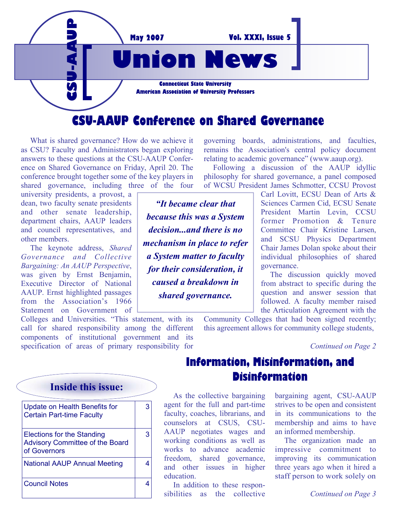

 What is shared governance? How do we achieve it as CSU? Faculty and Administrators began exploring answers to these questions at the CSU-AAUP Conference on Shared Governance on Friday, April 20. The conference brought together some of the key players in shared governance, including three of the four

university presidents, a provost, a dean, two faculty senate presidents and other senate leadership, department chairs, AAUP leaders and council representatives, and other members.

 The keynote address, *Shared Governance and Collective Bargaining: An AAUP Perspective*, was given by Ernst Benjamin, Executive Director of National AAUP. Ernst highlighted passages from the Association's 1966 Statement on Government of

Colleges and Universities. "This statement, with its call for shared responsibility among the different components of institutional government and its specification of areas of primary responsibility for

governing boards, administrations, and faculties, remains the Association's central policy document relating to academic governance" (www.aaup.org).

 Following a discussion of the AAUP idyllic philosophy for shared governance, a panel composed of WCSU President James Schmotter, CCSU Provost

> Carl Lovitt, ECSU Dean of Arts & Sciences Carmen Cid, ECSU Senate President Martin Levin, CCSU former Promotion & Tenure Committee Chair Kristine Larsen, and SCSU Physics Department Chair James Dolan spoke about their individual philosophies of shared governance.

> The discussion quickly moved from abstract to specific during the question and answer session that followed. A faculty member raised the Articulation Agreement with the

Community Colleges that had been signed recently; this agreement allows for community college students,

*Continued on Page 2* 

### **Information, Misinformation, and Disinformation**

 As the collective bargaining agent for the full and part-time faculty, coaches, librarians, and counselors at CSUS, CSU-AAUP negotiates wages and working conditions as well as works to advance academic freedom, shared governance, and other issues in higher education.

 In addition to these responsibilities as the collective bargaining agent, CSU-AAUP strives to be open and consistent in its communications to the membership and aims to have an informed membership.

 The organization made an impressive commitment to improving its communication three years ago when it hired a staff person to work solely on

*Continued on Page 3*

**Inside this issue:** 

| <b>Update on Health Benefits for</b><br><b>Certain Part-time Faculty</b>                    | 3 |
|---------------------------------------------------------------------------------------------|---|
| <b>Elections for the Standing</b><br><b>Advisory Committee of the Board</b><br>of Governors | з |
| <b>National AAUP Annual Meeting</b>                                                         |   |
| Council Notes                                                                               |   |

*"It became clear that because this was a System decision...and there is no mechanism in place to refer a System matter to faculty for their consideration, it caused a breakdown in shared governance.*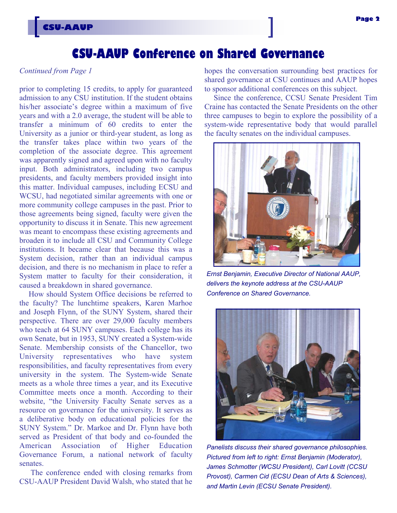# **CSU-AAUP Conference on Shared Governance**

#### *Continued from Page 1*

**CSU-AAUP**

prior to completing 15 credits, to apply for guaranteed admission to any CSU institution. If the student obtains his/her associate's degree within a maximum of five years and with a 2.0 average, the student will be able to transfer a minimum of 60 credits to enter the University as a junior or third-year student, as long as the transfer takes place within two years of the completion of the associate degree. This agreement was apparently signed and agreed upon with no faculty input. Both administrators, including two campus presidents, and faculty members provided insight into this matter. Individual campuses, including ECSU and WCSU, had negotiated similar agreements with one or more community college campuses in the past. Prior to those agreements being signed, faculty were given the opportunity to discuss it in Senate. This new agreement was meant to encompass these existing agreements and broaden it to include all CSU and Community College institutions. It became clear that because this was a System decision, rather than an individual campus decision, and there is no mechanism in place to refer a System matter to faculty for their consideration, it caused a breakdown in shared governance.

 How should System Office decisions be referred to the faculty? The lunchtime speakers, Karen Marhoe and Joseph Flynn, of the SUNY System, shared their perspective. There are over 29,000 faculty members who teach at 64 SUNY campuses. Each college has its own Senate, but in 1953, SUNY created a System-wide Senate. Membership consists of the Chancellor, two University representatives who have system responsibilities, and faculty representatives from every university in the system. The System-wide Senate meets as a whole three times a year, and its Executive Committee meets once a month. According to their website, "the University Faculty Senate serves as a resource on governance for the university. It serves as a deliberative body on educational policies for the SUNY System." Dr. Markoe and Dr. Flynn have both served as President of that body and co-founded the American Association of Higher Education Governance Forum, a national network of faculty senates.

 The conference ended with closing remarks from CSU-AAUP President David Walsh, who stated that he

hopes the conversation surrounding best practices for shared governance at CSU continues and AAUP hopes to sponsor additional conferences on this subject.

 Since the conference, CCSU Senate President Tim Craine has contacted the Senate Presidents on the other three campuses to begin to explore the possibility of a system-wide representative body that would parallel the faculty senates on the individual campuses.



*Ernst Benjamin, Executive Director of National AAUP, delivers the keynote address at the CSU-AAUP Conference on Shared Governance.* 



*Panelists discuss their shared governance philosophies. Pictured from left to right: Ernst Benjamin (Moderator), James Schmotter (WCSU President), Carl Lovitt (CCSU Provost), Carmen Cid (ECSU Dean of Arts & Sciences), and Martin Levin (ECSU Senate President).*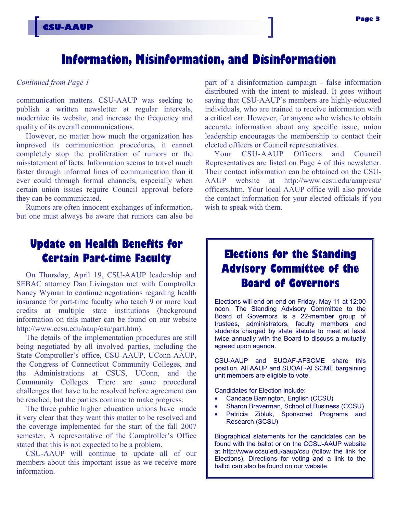# **Information, Misinformation, and Disinformation**

#### *Continued from Page 1*

communication matters. CSU-AAUP was seeking to publish a written newsletter at regular intervals, modernize its website, and increase the frequency and quality of its overall communications.

 However, no matter how much the organization has improved its communication procedures, it cannot completely stop the proliferation of rumors or the misstatement of facts. Information seems to travel much faster through informal lines of communication than it ever could through formal channels, especially when certain union issues require Council approval before they can be communicated.

 Rumors are often innocent exchanges of information, but one must always be aware that rumors can also be

# **Update on Health Benefits for Certain Part-time Faculty**

 On Thursday, April 19, CSU-AAUP leadership and SEBAC attorney Dan Livingston met with Comptroller Nancy Wyman to continue negotiations regarding health insurance for part-time faculty who teach 9 or more load credits at multiple state institutions (background information on this matter can be found on our website http://www.ccsu.edu/aaup/csu/part.htm).

 The details of the implementation procedures are still being negotiated by all involved parties, including the State Comptroller's office, CSU-AAUP, UConn-AAUP, the Congress of Connecticut Community Colleges, and the Administrations at CSUS, UConn, and the Community Colleges. There are some procedural challenges that have to be resolved before agreement can be reached, but the parties continue to make progress.

 The three public higher education unions have made it very clear that they want this matter to be resolved and the coverage implemented for the start of the fall 2007 semester. A representative of the Comptroller's Office stated that this is not expected to be a problem.

 CSU-AAUP will continue to update all of our members about this important issue as we receive more information.

part of a disinformation campaign - false information distributed with the intent to mislead. It goes without saying that CSU-AAUP's members are highly-educated individuals, who are trained to receive information with a critical ear. However, for anyone who wishes to obtain accurate information about any specific issue, union leadership encourages the membership to contact their elected officers or Council representatives.

 Your CSU-AAUP Officers and Council Representatives are listed on Page 4 of this newsletter. Their contact information can be obtained on the CSU-AAUP website at http://www.ccsu.edu/aaup/csu/ officers.htm. Your local AAUP office will also provide the contact information for your elected officials if you wish to speak with them.

# **Elections for the Standing Advisory Committee of the Board of Governors**

Elections will end on end on Friday, May 11 at 12:00 noon. The Standing Advisory Committee to the Board of Governors is a 22-member group of trustees, administrators, faculty members and students charged by state statute to meet at least twice annually with the Board to discuss a mutually agreed upon agenda.

CSU-AAUP and SUOAF-AFSCME share this position. All AAUP and SUOAF-AFSCME bargaining unit members are eligible to vote.

Candidates for Election include:

- Candace Barrington, English (CCSU)
- Sharon Braverman, School of Business (CCSU)
- Patricia Zibluk, Sponsored Programs and Research (SCSU)

Biographical statements for the candidates can be found with the ballot or on the CCSU-AAUP website at http://www.ccsu.edu/aaup/csu (follow the link for Elections). Directions for voting and a link to the ballot can also be found on our website.